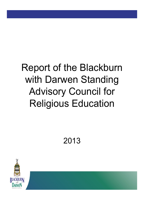# Report of the Blackburn with Darwen Standing Advisory Council for Religious Education

2013

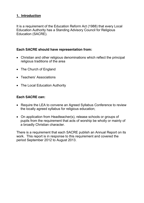# **1. Introduction**

It is a requirement of the Education Reform Act (1988) that every Local Education Authority has a Standing Advisory Council for Religious Education (SACRE).

# **Each SACRE should have representation from:**

- Christian and other religious denominations which reflect the principal religious traditions of the area
- The Church of England
- Teachers' Associations
- The Local Education Authority

# **Each SACRE can:**

- Require the LEA to convene an Agreed Syllabus Conference to review the locally agreed syllabus for religious education;
- On application from Headteacher(s), release schools or groups of pupils from the requirement that acts of worship be wholly or mainly of a broadly Christian character.

There is a requirement that each SACRE publish an Annual Report on its work. This report is in response to this requirement and covered the period September 2012 to August 2013.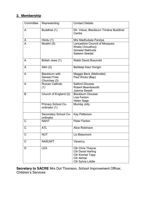# **2. Membership**

| Committee      | Representing:                       | <b>Contact Details</b>                            |
|----------------|-------------------------------------|---------------------------------------------------|
| A              | Buddhist (1)                        | Dh. Vidusi, Blackburn Triratna Buddhist<br>Centre |
| A              | Hindu (1)                           | Mrs Madhubala Pandya                              |
| $\overline{A}$ | $\overline{\mathsf{M}}$ uslim (5)   | Lancashire Council of Mosques:                    |
|                |                                     | Khaliq Choudhury                                  |
|                |                                     | <b>Ismaeel Nakhuda</b>                            |
|                |                                     | Saleem Seedat                                     |
| A              | British Jews (1)                    | Rabbi David Braunold                              |
| $\mathsf{A}$   | Sikh (2)                            | <b>Baldeep Kaur Hungin</b>                        |
| A              | <b>Blackburn with</b>               | Maggie Beck (Methodist)                           |
|                | Darwen Free                         | Paul Wicks (Bap)                                  |
|                | Churches (3)                        |                                                   |
| A              | <b>Roman Catholic</b>               | Salford Diocese                                   |
|                | (1)                                 | <b>Robert Beardsworth</b>                         |
|                |                                     | Joanna Sewell                                     |
| B              | Church of England (2)               | <b>Blackburn Diocese</b>                          |
|                |                                     | Lisa Fenton                                       |
|                |                                     | <b>Helen Sage</b>                                 |
|                | Primary School Co-<br>ordinator (1) | Mumtaj Jolly                                      |
|                | Secondary School Co-                | <b>Kay Patterson</b>                              |
|                | ordinator                           |                                                   |
| C              | <b>NAHT</b>                         | <b>Peter Fenton</b>                               |
| $\mathsf{C}$   | <b>ATL</b>                          | Alice Robinson                                    |
| C              | <b>NUT</b>                          | Liz Beaumont                                      |
| $\mathsf C$    | <b>NASUWT</b>                       | Vacancy                                           |
| D              | <b>LEA</b>                          | <b>Cllr Chris Thayne</b>                          |
|                |                                     | <b>Cllr David Harling</b>                         |
|                |                                     | <b>Cllr Konrad Tapp</b>                           |
|                |                                     | <b>Cllr Akhtar</b>                                |
|                |                                     | Cllr Sylvia Liddle                                |

**Secretary to SACRE** Mrs Dot Thomson, School Improvement Officer, Children's Services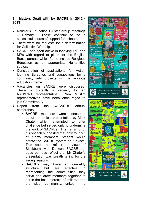### **3. Matters Dealt with by SACRE in 2012 - 2013**

- Religious Education Cluster group meetings – Primary. These continue to be a successful source of support for schools.
- There were no requests for a determination for Collective Worship.
- SACRE has been active in lobbying DfE and MPs with regard to plans for the English Baccalaureate which fail to include Religious Education as an appropriate Humanities subject.
- Consideration of applications for Action learning Bursaries and suggestions for a community arts projects with a religious education theme.
- Vacancies on SACRE were discussed. There is currently a vacancy for an NAS/UWT representative. New Muslim representatives have been encouraged to join Committee A.
- Report from the NASACRE annual conference.
	- SACRE members were concerned about the critical presentation by Mark Chater which attempted to offer challenge but served only to undermine the work of SACREs. The transcript of his speech suggested that only four out of eighty members present would create the SACRE system as it exists. This would not reflect the views of Blackburn with Darwen SACRE but does perhaps reflect that Mr Chater's presentation was breath taking for the wrong reasons.
	- SACREs may have an unwieldy structure but are effective in representing the communities they serve and draw members together to act in the best interests of children and the wider community, united in a

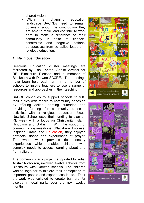shared vision.

Within a changing education landscape SACREs need to remain optimistic about the contribution they are able to make and continue to work hard to make a difference to their community in spite of financial constraints and negative national perspectives from so called leaders in religious education.

# **4. Religious Education**

Religious Education cluster meetings are facilitated by Lisa Fenton, Senior Adviser for RE, Blackburn Diocese and a member of Blackburn with Darwen SACRE. The meetings have been held each term in a number of schools to inspire teachers to use a range of resources and approaches in their teaching.

SACRE continues to support schools to fulfil their duties with regard to community cohesion by offering action learning bursaries and providing funding for community cohesion activities with a religious education focus. Newfield School used their funding to plan an RE week with a focus on Christianity, Islam, Hinduism and Sikhism. With the support of community organisations (Blackburn Diocese, Inspiring Grace and Educasian) they enjoyed artefacts, dance and experiences of prayer. The whole week provided rich sensory experiences which enabled children with complex needs to access learning about and from religion.

The community arts project, supported by artist Alistair Nicholson, involved twelve schools from Blackburn with Darwen schools. The children worked together to explore their perceptions of important people and experiences in life. Their art work was collated to create banners for display in local parks over the next twelve months.



![](_page_4_Picture_7.jpeg)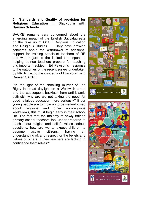#### **5. Standards and Quality of provision for Religious Education in Blackburn with Darwen Schools**

SACRE remains very concerned about the emerging impact of the English Baccalaureate on the take up of GCSE Religious Education and Religious Studies. They have growing concerns about the withdrawal of additional support for training specialist teachers of RE and with regard to the limited time spent in helping trainee teachers prepare for teaching this important subject. Ed Pawson's response to the outcomes of the recent survey undertaken by NATRE echo the concerns of Blackburn with Darwen SACRE:

"In the light of the shocking murder of Lee Rigby in broad daylight on a Woolwich street and the subsequent backlash from anti-Islamic activists, why are we not taking the need for good religious education more seriously? If our young people are to grow up to be well-informed about religions and other non-religious worldviews, this must begin early in their school life. The fact that the majority of newly trained primary school teachers feel under-prepared to teach about religion and beliefs raises serious questions: how are we to expect children to become active citizens, having an understanding of, and respect for the beliefs and values of others, if their teachers are lacking in confidence themselves?"

![](_page_5_Picture_3.jpeg)

![](_page_5_Picture_4.jpeg)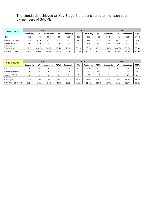#### The standards achieved at Key Stage 4 are considered at the each year by members of SACRE.

| <b>FULL COURSE</b>            | 2011      |       |                              |       |       | 2012      |       |           | 2013  |           |              |       |  |
|-------------------------------|-----------|-------|------------------------------|-------|-------|-----------|-------|-----------|-------|-----------|--------------|-------|--|
|                               | Community | VA    | VA<br>Community<br>Community |       | VA    | Community | VA    | Community | VA    | Academies | <b>TOTAL</b> |       |  |
| <b>NOR</b>                    | 856       | 459   | 856                          | 459   | 856   | 459       | 856   | 459       | 902   | 471       | 389          | 1762  |  |
| Number of entries             | 422       | 415   | 422                          | 415   | 422   | 415       | 422   | 415       | 373   | 441       | 153          | 967   |  |
| Number of A*-C                | 321       | 270   | 321                          | 270   | 321   | 270       | 321   | 270       | 282   | 300       | 127          | 709   |  |
| % Entered<br>Gaining $A^*$ -C | 76.1%     | 65.1% | 76.1%                        | 65.1% | 76.1% | 65.1%     | 76.1% | 65.1%     | 75.6% | 68.0%     | 83.0%        | 73.3% |  |
| % of NOR entered              | 49.3%     | 90.4% | 49.3%                        | 90.4% | 49.3% | 90.4%     | 49.3% | 90.4%     | 41.4% | 93.6%     | 39.3%        | 54.9% |  |

| <b>SHORT COURSE</b>           | 2011      |      |           |              |           |      | 2012      |              | 2013      |      |           |              |  |
|-------------------------------|-----------|------|-----------|--------------|-----------|------|-----------|--------------|-----------|------|-----------|--------------|--|
|                               | Community | VA   | Academies | <b>TOTAL</b> | Community | VA   | Academies | <b>TOTAL</b> | Community | VA   | Academies | <b>TOTAL</b> |  |
| <b>NOR</b>                    | O         | 0    |           | 0            | 419       | 200  | 251       | 870          | 270       | 201  | 418       | 889          |  |
| Number of entries             | 0         | 0    |           | 0            | 50        | 4    | 154       | 208          | 29        |      | 212       | 242          |  |
| Number of A*-C                | 0         | 0    |           | 0            | 6         |      | 120       | 126          |           | 0    | 82        | 89           |  |
| % Entered<br>Gaining $A^*$ -C | 0.0%      | 0.0% | 0.0%      | 0.0%         | 12.0%     | 0.0% | 77.9%     | 60.6%        | 24.1%     | 0.0% | 38.7%     | 36.8%        |  |
| % of NOR entered              | 0.0%      | 0.0% | 0.0%      | 0.0%         | 11.9%     | 2.0% | 61.4%     | 23.9%        | 10.7%     | 0.5% | 50.7%     | 27.2%        |  |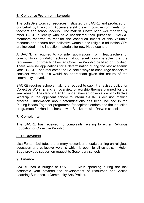# **6. Collective Worship in Schools**

The collective worship resources instigated by SACRE and produced on our behalf by Blackburn Diocese are still drawing positive comments from teachers and school leaders. The materials have been well received by other SACREs locally who have considered their purchase. SACRE members resolved to monitor the continued impact of this valuable resource and ensure both collective worship and religious education CDs are included in the induction materials for new Headteachers.

A SACRE is required to consider applications from Headteachers of community or foundation schools (without a religious character) that the requirement for broadly Christian Collective Worship be lifted or modified. There were no applications for a determination during the last academic year. SACRE has requested the LA seeks ways to encourage schools to consider whether this would be appropriate given the nature of the community served.

SACRE requires schools making a request to submit a revised policy for Collective Worship and an overview of worship themes planned for the year ahead. The clerk to SACRE undertakes an observation of Collective Worship in the applicant school to inform SACRE's decision making process. Information about determinations has been included in the Putting Heads Together programme for aspirant leaders and the induction programme for Headteachers new to Blackburn with Darwen schools.

# **7. Complaints**

The SACRE has received no complaints relating to either Religious Education or Collective Worship.

# **8. RE Advisers**

Lisa Fenton facilitates the primary network and leads training on religious education and collective worship which is open to all schools. Helen Sage provides support on request to Secondary schools.

#### **9. Finance**

SACRE has a budget of £15,000. Main spending during the last academic year covered the development of resources and Action Learning Bursaries, a Community Arts Project.